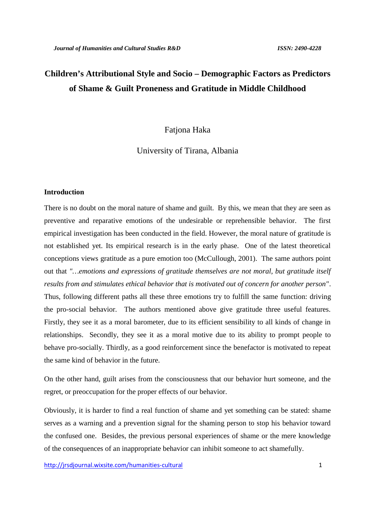# **Children's Attributional Style and Socio – Demographic Factors as Predictors of Shame & Guilt Proneness and Gratitude in Middle Childhood**

# Fationa Haka

University of Tirana, Albania

# **Introduction**

There is no doubt on the moral nature of shame and guilt. By this, we mean that they are seen as preventive and reparative emotions of the undesirable or reprehensible behavior. The first empirical investigation has been conducted in the field. However, the moral nature of gratitude is not established yet. Its empirical research is in the early phase. One of the latest theoretical conceptions views gratitude as a pure emotion too (McCullough, 2001). The same authors point out that *"…emotions and expressions of gratitude themselves are not moral, but gratitude itself results from and stimulates ethical behavior that is motivated out of concern for another person"*. Thus, following different paths all these three emotions try to fulfill the same function: driving the pro-social behavior. The authors mentioned above give gratitude three useful features. Firstly, they see it as a moral barometer, due to its efficient sensibility to all kinds of change in relationships. Secondly, they see it as a moral motive due to its ability to prompt people to behave pro-socially. Thirdly, as a good reinforcement since the benefactor is motivated to repeat the same kind of behavior in the future.

On the other hand, guilt arises from the consciousness that our behavior hurt someone, and the regret, or preoccupation for the proper effects of our behavior.

Obviously, it is harder to find a real function of shame and yet something can be stated: shame serves as a warning and a prevention signal for the shaming person to stop his behavior toward the confused one. Besides, the previous personal experiences of shame or the mere knowledge of the consequences of an inappropriate behavior can inhibit someone to act shamefully.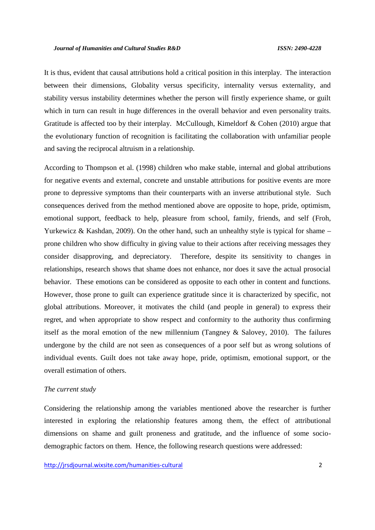It is thus, evident that causal attributions hold a critical position in this interplay. The interaction between their dimensions, Globality versus specificity, internality versus externality, and stability versus instability determines whether the person will firstly experience shame, or guilt which in turn can result in huge differences in the overall behavior and even personality traits. Gratitude is affected too by their interplay. McCullough, Kimeldorf & Cohen (2010) argue that the evolutionary function of recognition is facilitating the collaboration with unfamiliar people and saving the reciprocal altruism in a relationship.

According to Thompson et al. (1998) children who make stable, internal and global attributions for negative events and external, concrete and unstable attributions for positive events are more prone to depressive symptoms than their counterparts with an inverse attributional style. Such consequences derived from the method mentioned above are opposite to hope, pride, optimism, emotional support, feedback to help, pleasure from school, family, friends, and self (Froh, Yurkewicz & Kashdan, 2009). On the other hand, such an unhealthy style is typical for shame – prone children who show difficulty in giving value to their actions after receiving messages they consider disapproving, and depreciatory. Therefore, despite its sensitivity to changes in relationships, research shows that shame does not enhance, nor does it save the actual prosocial behavior. These emotions can be considered as opposite to each other in content and functions. However, those prone to guilt can experience gratitude since it is characterized by specific, not global attributions. Moreover, it motivates the child (and people in general) to express their regret, and when appropriate to show respect and conformity to the authority thus confirming itself as the moral emotion of the new millennium (Tangney & Salovey, 2010). The failures undergone by the child are not seen as consequences of a poor self but as wrong solutions of individual events. Guilt does not take away hope, pride, optimism, emotional support, or the overall estimation of others.

## *The current study*

Considering the relationship among the variables mentioned above the researcher is further interested in exploring the relationship features among them, the effect of attributional dimensions on shame and guilt proneness and gratitude, and the influence of some socio demographic factors on them. Hence, the following research questions were addressed: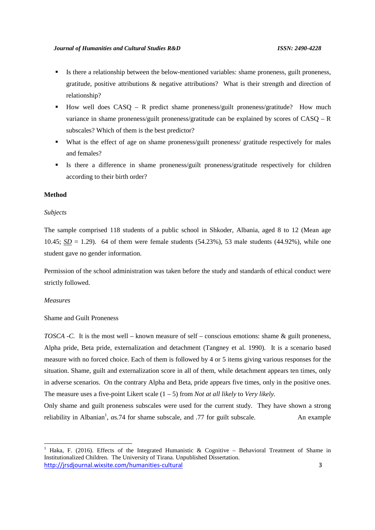- Is there a relationship between the below-mentioned variables: shame proneness, guilt proneness, gratitude, positive attributions & negative attributions? What is their strength and direction of relationship?
- $\blacksquare$  How well does CASQ R predict shame proneness/guilt proneness/gratitude? How much variance in shame proneness/guilt proneness/gratitude can be explained by scores of CASQ – R subscales? Which of them is the best predictor?
- What is the effect of age on shame proneness/guilt proneness/ gratitude respectively for males and females?
- Is there a difference in shame proneness/guilt proneness/gratitude respectively for children according to their birth order?

## **Method**

## *Subjects*

The sample comprised 118 students of a public school in Shkoder, Albania, aged 8 to 12 (Mean age 10.45;  $SD = 1.29$ ). 64 of them were female students (54.23%), 53 male students (44.92%), while one student gave no gender information.

Permission of the school administration was taken before the study and standards of ethical conduct were strictly followed.

#### *Measures*

Shame and Guilt Proneness

*TOSCA -C.* It is the most well – known measure of self – conscious emotions: shame & guilt proneness, Alpha pride, Beta pride, externalization and detachment (Tangney et al. 1990). It is a scenario based measure with no forced choice. Each of them is followed by 4 or 5 items giving various responses for the situation. Shame, guilt and externalization score in all of them, while detachment appears ten times, only in adverse scenarios. On the contrary Alpha and Beta, pride appears five times, only in the positive ones. The measure uses a five-point Likert scale (1 – 5) from *Not at all likely* to *Very likely.*

Only shame and guilt proneness subscales were used for the current study. They have shown a strong reliability in Albanian<sup>1</sup>, s.74 for shame subscale, and .77 for guilt subscale. An example

http://jrsdjournal.wixsite.com/humanities-cultural 3 <sup>1</sup> Haka, F. (2016). Effects of the Integrated Humanistic & Cognitive – Behavioral Treatment of Shame in Institutionalized Children. The University of Tirana. Unpublished Dissertation.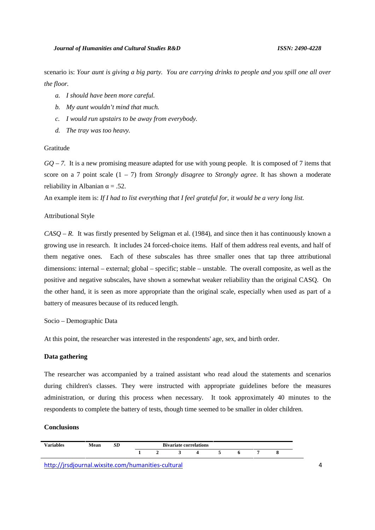scenario is: *Your aunt is giving a big party. You are carrying drinks to people and you spill one all over the floor.*

- *a. I should have been more careful.*
- *b. My aunt wouldn't mind that much.*
- *c. I would run upstairs to be away from everybody.*
- *d. The tray was too heavy.*

## Gratitude

*GQ – 7.* It is a new promising measure adapted for use with young people. It is composed of 7 items that score on a 7 point scale (1 – 7) from *Strongly disagree* to *Strongly agree*. It has shown a moderate reliability in Albanian  $= .52$ .

An example item is: *If I had to list everything that I feel grateful for, it would be a very long list.*

## Attributional Style

*CASQ – R.* It was firstly presented by Seligman et al. (1984), and since then it has continuously known a growing use in research. It includes 24 forced-choice items. Half of them address real events, and half of them negative ones. Each of these subscales has three smaller ones that tap three attributional dimensions: internal – external; global – specific; stable – unstable. The overall composite, as well as the positive and negative subscales, have shown a somewhat weaker reliability than the original CASQ. On the other hand, it is seen as more appropriate than the original scale, especially when used as part of a battery of measures because of its reduced length.

Socio – Demographic Data

At this point, the researcher was interested in the respondents' age, sex, and birth order.

## **Data gathering**

The researcher was accompanied by a trained assistant who read aloud the statements and scenarios during children's classes. They were instructed with appropriate guidelines before the measures administration, or during this process when necessary. It took approximately 40 minutes to the respondents to complete the battery of tests, though time seemed to be smaller in older children.

#### **Conclusions**

| <b>Variables</b> | <b>Mean</b> | $\mathcal{L}$ | <b>Bivariate correlations</b> |  |  |  |  |  |  |  |
|------------------|-------------|---------------|-------------------------------|--|--|--|--|--|--|--|
|                  |             |               |                               |  |  |  |  |  |  |  |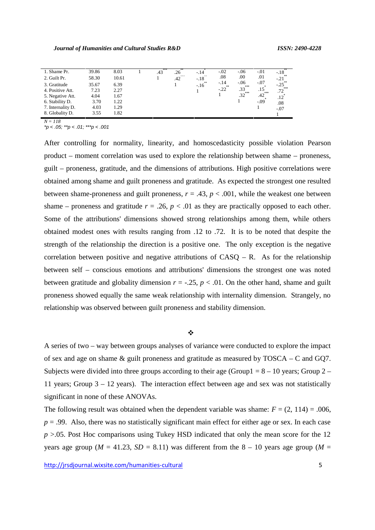| 1. Shame Pr.      | 39.86 | 8.03  | xxx<br>.43 | .26<br>$x \times x$ | $-.14$<br>X  | $-.02$          | $-.06$          | $-.01$       | $-.18$<br>้∗∗ |
|-------------------|-------|-------|------------|---------------------|--------------|-----------------|-----------------|--------------|---------------|
| 2. Guilt Pr.      | 58.30 | 10.61 |            | .42                 | $-.18$       | .08             | .00.            | .01          | $-21$         |
| 3. Gratitude      | 35.67 | 6.39  |            |                     | **<br>$-.16$ | $-.14$<br>$***$ | $-.06$<br>$***$ | -.07         | $-.25$        |
| 4. Positive Att.  | 7.23  | 2.27  |            |                     |              | $-.22$          | .33<br>$***$    | .15<br>$***$ | $***$<br>.72  |
| 5. Negative Att.  | 4.04  | 1.67  |            |                     |              |                 | .32             | .42          | .12           |
| 6. Stability D.   | 3.70  | 1.22  |            |                     |              |                 |                 | $-.09$       | .08           |
| 7. Internality D. | 4.03  | 1.29  |            |                     |              |                 |                 |              | $-.07$        |
| 8. Globality D.   | 3.55  | 1.82  |            |                     |              |                 |                 |              |               |

*N = 118*

*\*p < .05; \*\*p < .01; \*\*\*p < .001*

After controlling for normality, linearity, and homoscedasticity possible violation Pearson product – moment correlation was used to explore the relationship between shame – proneness, guilt – proneness, gratitude, and the dimensions of attributions. High positive correlations were obtained among shame and guilt proneness and gratitude. As expected the strongest one resulted between shame-proneness and guilt proneness,  $r = .43$ ,  $p < .001$ , while the weakest one between shame – proneness and gratitude  $r = .26$ ,  $p < .01$  as they are practically opposed to each other. Some of the attributions' dimensions showed strong relationships among them, while others obtained modest ones with results ranging from .12 to .72. It is to be noted that despite the strength of the relationship the direction is a positive one. The only exception is the negative correlation between positive and negative attributions of  $CASQ - R$ . As for the relationship between self – conscious emotions and attributions' dimensions the strongest one was noted between gratitude and globality dimension  $r = -.25$ ,  $p < .01$ . On the other hand, shame and guilt proneness showed equally the same weak relationship with internality dimension. Strangely, no relationship was observed between guilt proneness and stability dimension.

# $\Phi$  and the set of the set of  $\Phi$

A series of two – way between groups analyses of variance were conducted to explore the impact of sex and age on shame & guilt proneness and gratitude as measured by TOSCA – C and GQ7. Subjects were divided into three groups according to their age (Group1 =  $8 - 10$  years; Group 2 – 11 years; Group 3 – 12 years). The interaction effect between age and sex was not statistically significant in none of these ANOVAs.

The following result was obtained when the dependent variable was shame:  $F = (2, 114) = .006$ ,  $p = .99$ . Also, there was no statistically significant main effect for either age or sex. In each case *p* >.05. Post Hoc comparisons using Tukey HSD indicated that only the mean score for the 12 years age group ( $M = 41.23$ ,  $SD = 8.11$ ) was different from the  $8 - 10$  years age group ( $M =$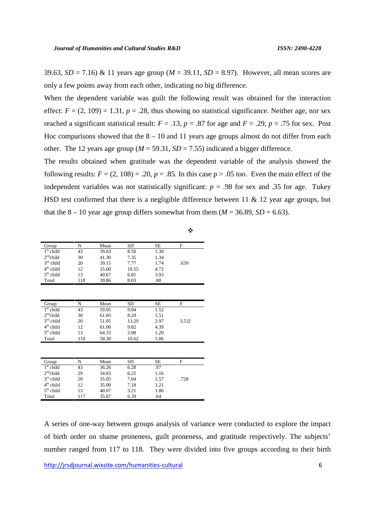39.63,  $SD = 7.16$ ) & 11 years age group ( $M = 39.11$ ,  $SD = 8.97$ ). However, all mean scores are only a few points away from each other, indicating no big difference.

When the dependent variable was guilt the following result was obtained for the interaction effect:  $F = (2, 109) = 1.31$ ,  $p = .28$ , thus showing no statistical significance. Neither age, nor sex reached a significant statistical result:  $F = .13$ ,  $p = .87$  for age and  $F = .29$ ,  $p = .75$  for sex. Post Hoc comparisons showed that the  $8 - 10$  and 11 years age groups almost do not differ from each other. The 12 years age group ( $M = 59.31$ ,  $SD = 7.55$ ) indicated a bigger difference.

The results obtained when gratitude was the dependent variable of the analysis showed the following results:  $F = (2, 108) = .20$ ,  $p = .85$ . In this case  $p > .05$  too. Even the main effect of the independent variables was not statistically significant:  $p = .98$  for sex and .35 for age. Tukey HSD test confirmed that there is a negligible difference between 11  $\&$  12 year age groups, but that the  $8 - 10$  year age group differs somewhat from them  $(M = 36.89, SD = 6.63)$ .

 $\Phi$  and the set of the set of  $\Phi$ 

| Group       | N   | Mean  | SD    | SЕ   | F    |  |
|-------------|-----|-------|-------|------|------|--|
| $1st$ child | 43  | 39.63 | 8.50  | 1.30 |      |  |
| $2nd$ child | 30  | 41.30 | 7.35  | 1.34 |      |  |
| $3rd$ child | 20  | 39.15 | 7.77  | 1.74 | .639 |  |
| $4th$ child | 12  | 35.60 | 10.55 | 4.72 |      |  |
| $5th$ child | 13  | 40.67 | 6.81  | 3.93 |      |  |
| Total       | 118 | 39.86 | 8.03  | .80  |      |  |

| Group       |     | Mean  | SD    | SЕ   | F     |
|-------------|-----|-------|-------|------|-------|
| $1st$ child | 43  | 59.05 | 9.84  | 1.52 |       |
| $2nd$ child | 30  | 61.03 | 8.29  | 1.51 |       |
| $3rd$ child | 20  | 51.05 | 13.29 | 2.97 | 3.532 |
| $4th$ child | 12  | 61.00 | 9.82  | 4.39 |       |
| $5th$ child | 13  | 64.33 | 2.08  | 1.20 |       |
| Total       | 118 | 58.30 | 10.62 | 1.06 |       |

| Group       |     | Mean  | SD   | SЕ   | F    |  |
|-------------|-----|-------|------|------|------|--|
| $1st$ child | 43  | 36.26 | 6.28 | .97  |      |  |
| $2nd$ child | 29  | 34.83 | 6.25 | 1.16 |      |  |
| $3rd$ child | 20  | 35.05 | 7.04 | 1.57 | .728 |  |
| $4th$ child | 12  | 35.00 | 7.18 | 3.21 |      |  |
| $5th$ child | 13  | 40.67 | 3.21 | 1.86 |      |  |
| Total       | 117 | 35.67 | 6.39 | .64  |      |  |

http://jrsdjournal.wixsite.com/humanities-cultural 6 A series of one-way between groups analysis of variance were conducted to explore the impact of birth order on shame proneness, guilt proneness, and gratitude respectively. The subjects' number ranged from 117 to 118. They were divided into five groups according to their birth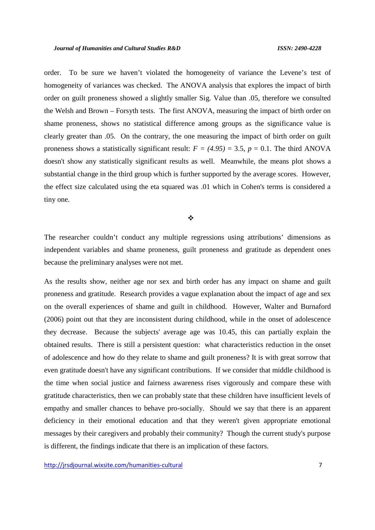order. To be sure we haven't violated the homogeneity of variance the Levene's test of homogeneity of variances was checked. The ANOVA analysis that explores the impact of birth order on guilt proneness showed a slightly smaller Sig. Value than .05, therefore we consulted the Welsh and Brown – Forsyth tests. The first ANOVA, measuring the impact of birth order on shame proneness, shows no statistical difference among groups as the significance value is clearly greater than .05. On the contrary, the one measuring the impact of birth order on guilt proneness shows a statistically significant result:  $F = (4.95) = 3.5$ ,  $p = 0.1$ . The third ANOVA doesn't show any statistically significant results as well. Meanwhile, the means plot shows a substantial change in the third group which is further supported by the average scores. However, the effect size calculated using the eta squared was .01 which in Cohen's terms is considered a tiny one.

 $\Phi$  and the set of the set of  $\Phi$ 

The researcher couldn't conduct any multiple regressions using attributions' dimensions as independent variables and shame proneness, guilt proneness and gratitude as dependent ones because the preliminary analyses were not met.

As the results show, neither age nor sex and birth order has any impact on shame and guilt proneness and gratitude. Research provides a vague explanation about the impact of age and sex on the overall experiences of shame and guilt in childhood. However, Walter and Burnaford (2006) point out that they are inconsistent during childhood, while in the onset of adolescence they decrease. Because the subjects' average age was 10.45, this can partially explain the obtained results. There is still a persistent question: what characteristics reduction in the onset of adolescence and how do they relate to shame and guilt proneness? It is with great sorrow that even gratitude doesn't have any significant contributions. If we consider that middle childhood is the time when social justice and fairness awareness rises vigorously and compare these with gratitude characteristics, then we can probably state that these children have insufficient levels of empathy and smaller chances to behave pro-socially. Should we say that there is an apparent deficiency in their emotional education and that they weren't given appropriate emotional messages by their caregivers and probably their community? Though the current study's purpose is different, the findings indicate that there is an implication of these factors.